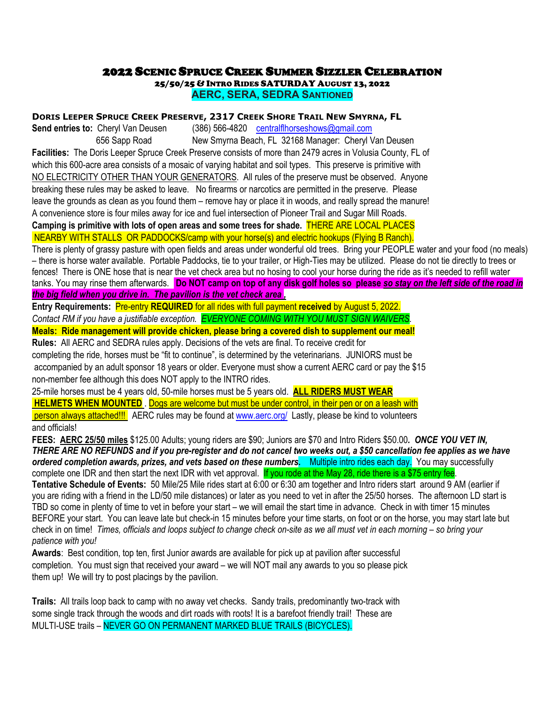## **2022 SCENIC SPRUCE CREEK SUMMER SIZZLER CELEBRATION**<br>25/50/25 & Intro Rides SATURDAY August 13, 2022

**AERC, SERA, SEDRA SANTIONED**

**DORIS LEEPER SPRUCE CREEK PRESERVE, 2317 CREEK SHORE TRAIL NEW SMYRNA, FL** 

**Send entries to:** Cheryl Van Deusen (386) 566-4820 [centralflhorseshows@gmail.com](mailto:centralflhorseshows@gmail.com)  656 Sapp Road New Smyrna Beach, FL 32168 Manager: Cheryl Van Deusen **Facilities:** The Doris Leeper Spruce Creek Preserve consists of more than 2479 acres in Volusia County, FL of which this 600-acre area consists of a mosaic of varying habitat and soil types. This preserve is primitive with NO ELECTRICITY OTHER THAN YOUR GENERATORS. All rules of the preserve must be observed. Anyone breaking these rules may be asked to leave. No firearms or narcotics are permitted in the preserve. Please leave the grounds as clean as you found them – remove hay or place it in woods, and really spread the manure! A convenience store is four miles away for ice and fuel intersection of Pioneer Trail and Sugar Mill Roads.

**Camping is primitive with lots of open areas and some trees for shade.** THERE ARE LOCAL PLACES NEARBY WITH STALLS OR PADDOCKS/camp with your horse(s) and electric hookups (Flying B Ranch).

There is plenty of grassy pasture with open fields and areas under wonderful old trees. Bring your PEOPLE water and your food (no meals) – there is horse water available. Portable Paddocks, tie to your trailer, or High-Ties may be utilized. Please do not tie directly to trees or fences! There is ONE hose that is near the vet check area but no hosing to cool your horse during the ride as it's needed to refill water tanks. You may rinse them afterwards. **Do NOT camp on top of any disk golf holes so please** *so stay on the left side of the road in the big field when you drive in. The pavilion is the vet check area ,* 

**Entry Requirements:** Pre-entry **REQUIRED** for all rides with full payment **received** by August 5, 2022. *Contact RM if you have a justifiable exception. EVERYONE COMING WITH YOU MUST SIGN WAIVERS.*  **Meals: Ride management will provide chicken, please bring a covered dish to supplement our meal!** 

**Rules:** All AERC and SEDRA rules apply. Decisions of the vets are final. To receive credit for

completing the ride, horses must be "fit to continue", is determined by the veterinarians. JUNIORS must be accompanied by an adult sponsor 18 years or older. Everyone must show a current AERC card or pay the \$15 non-member fee although this does NOT apply to the INTRO rides.

25-mile horses must be 4 years old, 50-mile horses must be 5 years old. **ALL RIDERS MUST WEAR** 

**HELMETS WHEN MOUNTED** . Dogs are welcome but must be under control, in their pen or on a leash with

person always attached!!! AERC rules may be found at [www.aerc.org/](http://www.aerc.org/) Lastly, please be kind to volunteers and officials!

**FEES: AERC 25/50 miles** \$125.00 Adults; young riders are \$90; Juniors are \$70 and Intro Riders \$50.00*. ONCE YOU VET IN, THERE ARE NO REFUNDS and if you pre-register and do not cancel two weeks out, a \$50 cancellation fee applies as we have*  **ordered completion awards, prizes, and vets based on these numbers. Nultiple intro rides each day.** You may successfully complete one IDR and then start the next IDR with vet approval. If you rode at the May 28, ride there is a \$75 entry fee.

**Tentative Schedule of Events:** 50 Mile/25 Mile rides start at 6:00 or 6:30 am together and Intro riders start around 9 AM (earlier if you are riding with a friend in the LD/50 mile distances) or later as you need to vet in after the 25/50 horses. The afternoon LD start is TBD so come in plenty of time to vet in before your start – we will email the start time in advance. Check in with timer 15 minutes BEFORE your start. You can leave late but check-in 15 minutes before your time starts, on foot or on the horse, you may start late but check in on time! *Times, officials and loops subject to change check on-site as we all must vet in each morning – so bring your patience with you!* 

**Awards**: Best condition, top ten, first Junior awards are available for pick up at pavilion after successful completion. You must sign that received your award – we will NOT mail any awards to you so please pick them up! We will try to post placings by the pavilion.

**Trails:** All trails loop back to camp with no away vet checks. Sandy trails, predominantly two-track with some single track through the woods and dirt roads with roots! It is a barefoot friendly trail! These are MULTI-USE trails – NEVER GO ON PERMANENT MARKED BLUE TRAILS (BICYCLES).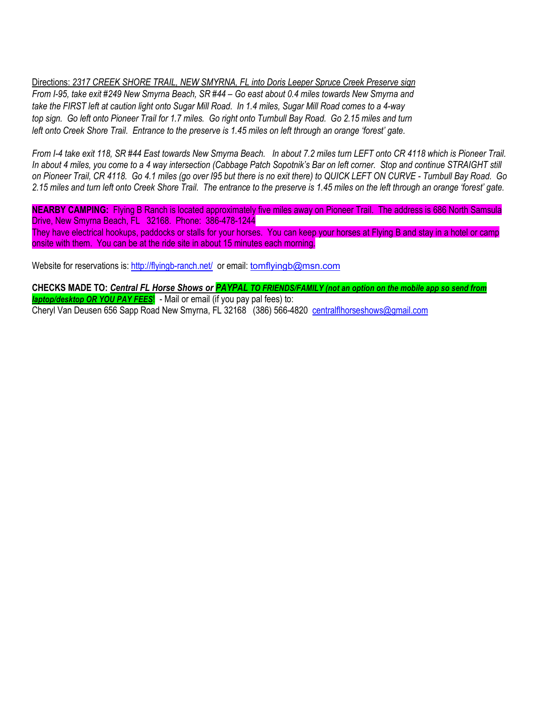Directions: *2317 CREEK SHORE TRAIL, NEW SMYRNA, FL into Doris Leeper Spruce Creek Preserve sign From I-95, take exit #249 New Smyrna Beach, SR #44 – Go east about 0.4 miles towards New Smyrna and take the FIRST left at caution light onto Sugar Mill Road. In 1.4 miles, Sugar Mill Road comes to a 4-way top sign. Go left onto Pioneer Trail for 1.7 miles. Go right onto Turnbull Bay Road. Go 2.15 miles and turn left onto Creek Shore Trail. Entrance to the preserve is 1.45 miles on left through an orange 'forest' gate.* 

*From I-4 take exit 118, SR #44 East towards New Smyrna Beach. In about 7.2 miles turn LEFT onto CR 4118 which is Pioneer Trail. In about 4 miles, you come to a 4 way intersection (Cabbage Patch Sopotnik's Bar on left corner. Stop and continue STRAIGHT still on Pioneer Trail, CR 4118. Go 4.1 miles (go over I95 but there is no exit there) to QUICK LEFT ON CURVE - Turnbull Bay Road. Go 2.15 miles and turn left onto Creek Shore Trail. The entrance to the preserve is 1.45 miles on the left through an orange 'forest' gate.* 

**NEARBY CAMPING:** Flying B Ranch is located approximately five miles away on Pioneer Trail. The address is 686 North Samsula Drive, New Smyrna Beach, FL 32168. Phone: 386-478-1244 They have electrical hookups, paddocks or stalls for your horses. You can keep your horses at Flying B and stay in a hotel or camp onsite with them. You can be at the ride site in about 15 minutes each morning.

Website for reservations is: <http://flyingb-ranch.net/>or email: [tomflyingb@msn.com](mailto:tomflyingb@msn.com)

**CHECKS MADE TO:** *Central FL Horse Shows or PAYPAL TO FRIENDS/FAMILY (not an option on the mobile app so send from laptop/desktop OR YOU PAY FEES*! - Mail or email (if you pay pal fees) to: Cheryl Van Deusen 656 Sapp Road New Smyrna, FL 32168 (386) 566-4820 [centralflhorseshows@gmail.com](mailto:centralflhorseshows@gmail.com)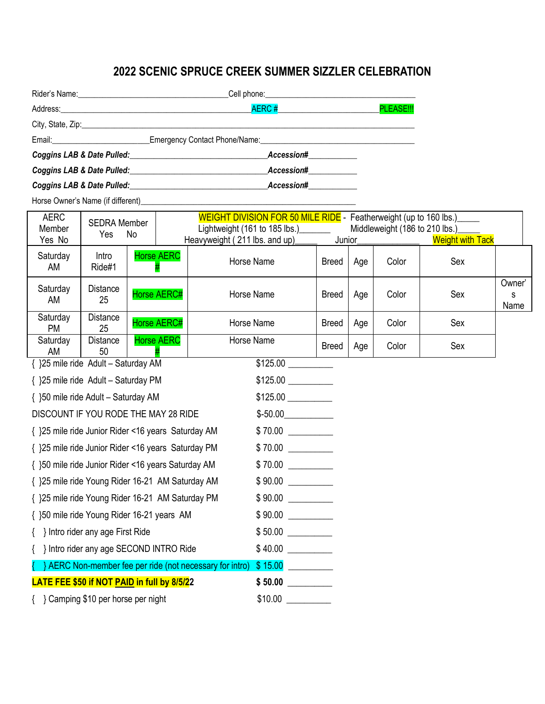## **2022 SCENIC SPRUCE CREEK SUMMER SIZZLER CELEBRATION**

|                                                       | <b>AERC#</b>                                                                                                                                                                                                                   | PLEASE!!! |  |  |  |
|-------------------------------------------------------|--------------------------------------------------------------------------------------------------------------------------------------------------------------------------------------------------------------------------------|-----------|--|--|--|
|                                                       |                                                                                                                                                                                                                                |           |  |  |  |
|                                                       | Emergency Contact Phone/Name: Contact American Control of The Control of The Control of The Control of The Control of The Control of The Control of The Control of The Control of The Control of The Control of The Control of |           |  |  |  |
| Coggins LAB & Date Pulled: Coggins LAB & Date Pulled: | Accession#                                                                                                                                                                                                                     |           |  |  |  |
| Coggins LAB & Date Pulled:                            | Accession#                                                                                                                                                                                                                     |           |  |  |  |
| Coggins LAB & Date Pulled:                            | Accession#                                                                                                                                                                                                                     |           |  |  |  |

Horse Owner's Name (if different)\_\_\_\_\_\_\_\_\_\_\_\_\_\_\_\_\_\_\_\_\_\_\_\_\_\_\_\_\_\_\_\_\_\_\_\_\_\_\_\_\_\_\_\_\_\_\_\_\_\_\_\_\_

| <b>AERC</b>                                        | <b>SEDRA Member</b>              |                                       |                                                        | WEIGHT DIVISION FOR 50 MILE RIDE - Featherweight (up to 160 lbs.)         |              |     |       |                         |                     |
|----------------------------------------------------|----------------------------------|---------------------------------------|--------------------------------------------------------|---------------------------------------------------------------------------|--------------|-----|-------|-------------------------|---------------------|
| Member                                             | Yes                              | No                                    |                                                        | Lightweight (161 to 185 lbs.)<br>Middleweight (186 to 210 lbs.)<br>Junior |              |     |       |                         |                     |
| Yes No                                             |                                  |                                       | Heavyweight (211 lbs. and up)                          |                                                                           |              |     |       | <b>Weight with Tack</b> |                     |
| Saturday<br>AM                                     | Intro<br>Ride#1                  | <b>Horse AERC</b>                     |                                                        | Horse Name                                                                | <b>Breed</b> | Age | Color | Sex                     |                     |
| Saturday<br>AM                                     | Distance<br>25                   | Horse AERC#                           |                                                        | Horse Name                                                                | <b>Breed</b> | Age | Color | Sex                     | Owner'<br>s<br>Name |
| Saturday<br><b>PM</b>                              | <b>Distance</b><br>25            | Horse AERC#                           |                                                        | Horse Name                                                                | <b>Breed</b> | Age | Color | Sex                     |                     |
| Saturday<br>AM                                     | <b>Distance</b><br>50            | <b>Horse AERC</b>                     |                                                        | Horse Name                                                                | <b>Breed</b> | Age | Color | Sex                     |                     |
| { }25 mile ride Adult - Saturday AM                |                                  |                                       |                                                        | \$125.00                                                                  |              |     |       |                         |                     |
| { }25 mile ride Adult - Saturday PM                |                                  |                                       |                                                        | $$125.00$ $\frac{1}{25.00}$                                               |              |     |       |                         |                     |
| { }50 mile ride Adult - Saturday AM                |                                  |                                       |                                                        |                                                                           |              |     |       |                         |                     |
| DISCOUNT IF YOU RODE THE MAY 28 RIDE               |                                  |                                       |                                                        | $$-50.00$                                                                 |              |     |       |                         |                     |
| { }25 mile ride Junior Rider <16 years Saturday AM |                                  |                                       |                                                        | \$70.00                                                                   |              |     |       |                         |                     |
| { }25 mile ride Junior Rider <16 years Saturday PM |                                  |                                       |                                                        |                                                                           |              |     |       |                         |                     |
| { }50 mile ride Junior Rider <16 years Saturday AM |                                  |                                       |                                                        |                                                                           |              |     |       |                         |                     |
| { }25 mile ride Young Rider 16-21 AM Saturday AM   |                                  |                                       |                                                        | \$90.00                                                                   |              |     |       |                         |                     |
| { }25 mile ride Young Rider 16-21 AM Saturday PM   |                                  |                                       |                                                        | \$90.00                                                                   |              |     |       |                         |                     |
| { }50 mile ride Young Rider 16-21 years AM         |                                  |                                       |                                                        | $$90.00$ $\qquad$                                                         |              |     |       |                         |                     |
|                                                    | } Intro rider any age First Ride |                                       |                                                        | $$50.00$                                                                  |              |     |       |                         |                     |
|                                                    |                                  | Intro rider any age SECOND INTRO Ride |                                                        | $$40.00$ $\qquad \qquad$                                                  |              |     |       |                         |                     |
|                                                    |                                  |                                       | AERC Non-member fee per ride (not necessary for intro) | \$15.00                                                                   |              |     |       |                         |                     |
| LATE FEE \$50 if NOT PAID in full by 8/5/22        |                                  |                                       |                                                        | \$50.00                                                                   |              |     |       |                         |                     |
| Semping \$10 per horse per night                   |                                  |                                       |                                                        | \$10.00                                                                   |              |     |       |                         |                     |